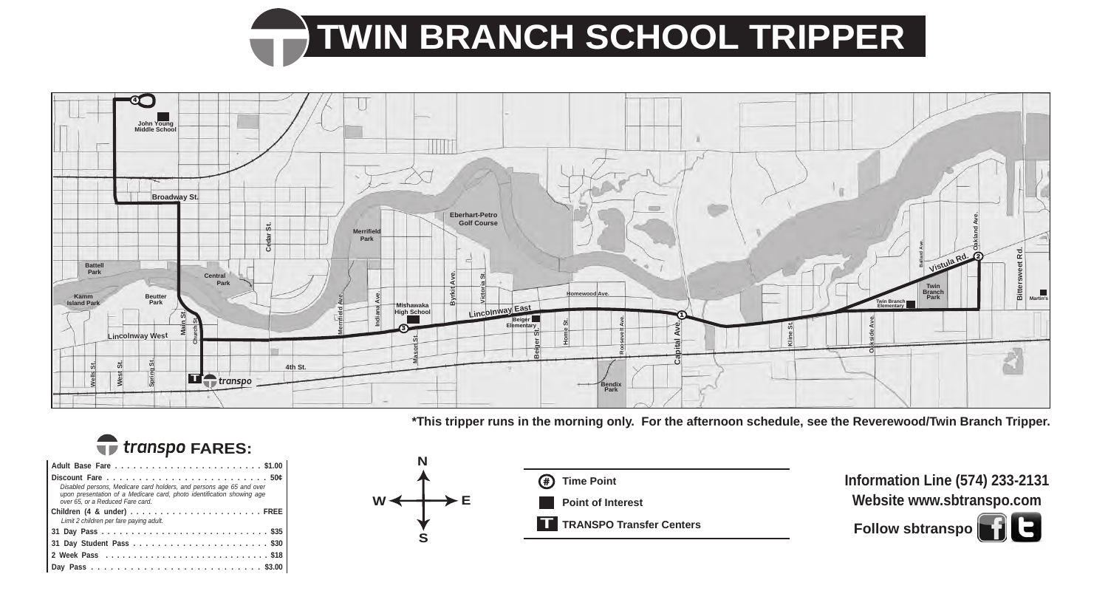## **TWIN BRANCH SCHOOL TRIPPER**



**\*This tripper runs in the morning only. For the afternoon schedule, see the Reverewood/Twin Branch Tripper.**





| Disabled persons, Medicare card holders, and persons age 65 and over<br>upon presentation of a Medicare card, photo identification showing age<br>over 65, or a Reduced Fare card. |
|------------------------------------------------------------------------------------------------------------------------------------------------------------------------------------|
| Limit 2 children per fare paying adult.                                                                                                                                            |
|                                                                                                                                                                                    |
|                                                                                                                                                                                    |
|                                                                                                                                                                                    |
|                                                                                                                                                                                    |
|                                                                                                                                                                                    |